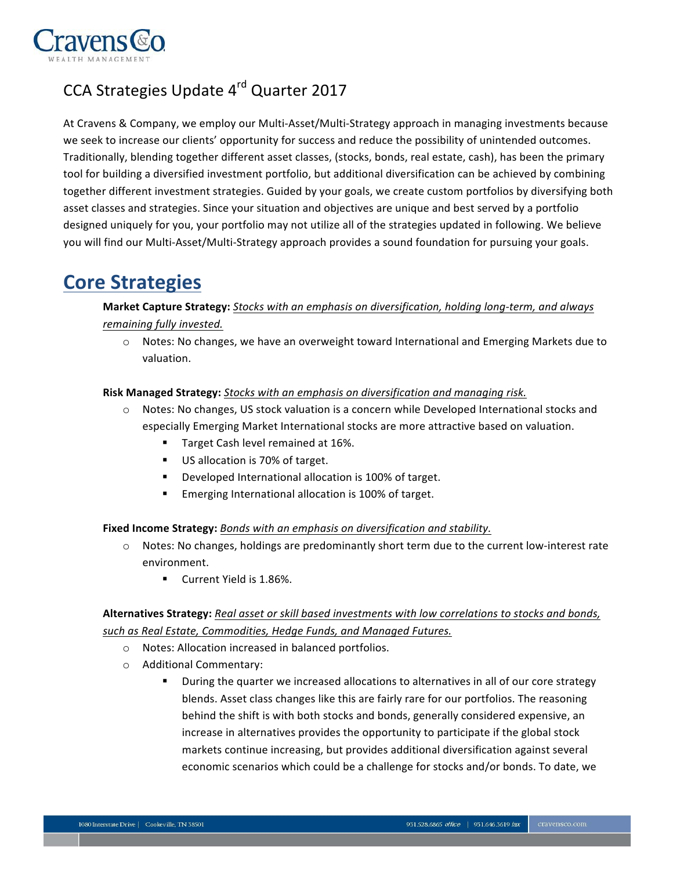

## CCA Strategies Update 4<sup>rd</sup> Quarter 2017

At Cravens & Company, we employ our Multi-Asset/Multi-Strategy approach in managing investments because we seek to increase our clients' opportunity for success and reduce the possibility of unintended outcomes. Traditionally, blending together different asset classes, (stocks, bonds, real estate, cash), has been the primary tool for building a diversified investment portfolio, but additional diversification can be achieved by combining together different investment strategies. Guided by your goals, we create custom portfolios by diversifying both asset classes and strategies. Since your situation and objectives are unique and best served by a portfolio designed uniquely for you, your portfolio may not utilize all of the strategies updated in following. We believe you will find our Multi-Asset/Multi-Strategy approach provides a sound foundation for pursuing your goals.

# **Core Strategies**

## **Market Capture Strategy:** *Stocks with an emphasis on diversification, holding long-term, and always remaining fully invested.*

o Notes: No changes, we have an overweight toward International and Emerging Markets due to valuation.

#### **Risk Managed Strategy:** *Stocks with an emphasis on diversification and managing risk.*

- o Notes: No changes, US stock valuation is a concern while Developed International stocks and especially Emerging Market International stocks are more attractive based on valuation.
	- **Target Cash level remained at 16%.**
	- US allocation is 70% of target.
	- Developed International allocation is 100% of target.
	- ! Emerging International allocation is 100% of target.

**Fixed Income Strategy:** *Bonds with an emphasis on diversification and stability.*

- o Notes: No changes, holdings are predominantly short term due to the current low-interest rate environment.
	- **Current Yield is 1.86%.**

## **Alternatives Strategy:** *Real asset or skill based investments with low correlations to stocks and bonds, such as Real Estate, Commodities, Hedge Funds, and Managed Futures.*

- o Notes: Allocation increased in balanced portfolios.
- o Additional Commentary:
	- ! During the quarter we increased allocations to alternatives in all of our core strategy blends. Asset class changes like this are fairly rare for our portfolios. The reasoning behind the shift is with both stocks and bonds, generally considered expensive, an increase in alternatives provides the opportunity to participate if the global stock markets continue increasing, but provides additional diversification against several economic scenarios which could be a challenge for stocks and/or bonds. To date, we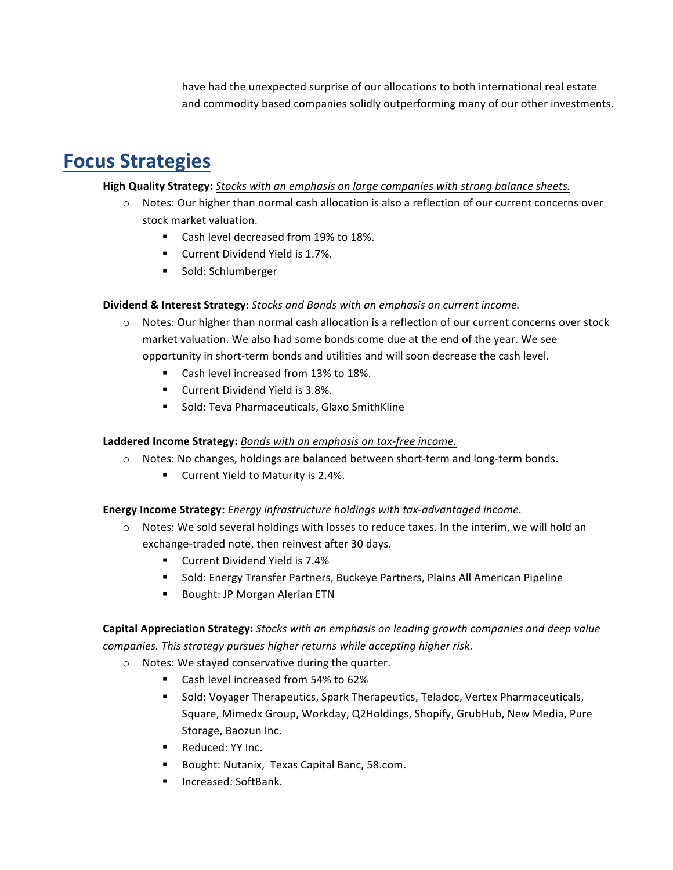have had the unexpected surprise of our allocations to both international real estate and commodity based companies solidly outperforming many of our other investments.

# **Focus Strategies**

### **High Quality Strategy:** *Stocks with an emphasis on large companies with strong balance sheets.*

- o Notes: Our higher than normal cash allocation is also a reflection of our current concerns over stock market valuation.
	- Cash level decreased from 19% to 18%.
	- Current Dividend Yield is 1.7%.
	- ! Sold: Schlumberger

#### **Dividend & Interest Strategy:** *Stocks and Bonds with an emphasis on current income.*

- o Notes: Our higher than normal cash allocation is a reflection of our current concerns over stock market valuation. We also had some bonds come due at the end of the year. We see opportunity in short-term bonds and utilities and will soon decrease the cash level.
	- Cash level increased from 13% to 18%.
	- ! Current Dividend Yield is 3.8%.
	- ! Sold: Teva Pharmaceuticals, Glaxo SmithKline

### **Laddered Income Strategy:** *Bonds with an emphasis on tax-free income.*

- o Notes: No changes, holdings are balanced between short-term and long-term bonds.
	- Current Yield to Maturity is 2.4%.

#### **Energy Income Strategy:** *Energy infrastructure holdings with tax-advantaged income.*

- o Notes: We sold several holdings with losses to reduce taxes. In the interim, we will hold an exchange-traded note, then reinvest after 30 days.
	- Current Dividend Yield is 7.4%
	- Sold: Energy Transfer Partners, Buckeye Partners, Plains All American Pipeline
	- ! Bought: JP Morgan Alerian ETN

## **Capital Appreciation Strategy:** *Stocks with an emphasis on leading growth companies and deep value companies. This strategy pursues higher returns while accepting higher risk.*

- o Notes: We stayed conservative during the quarter.
	- Cash level increased from 54% to 62%
	- ! Sold: Voyager Therapeutics, Spark Therapeutics, Teladoc, Vertex Pharmaceuticals, Square, Mimedx Group, Workday, Q2Holdings, Shopify, GrubHub, New Media, Pure Storage, Baozun Inc.
	- Reduced: YY Inc.
	- ! Bought: Nutanix, Texas Capital Banc, 58.com.
	- ! Increased: SoftBank.